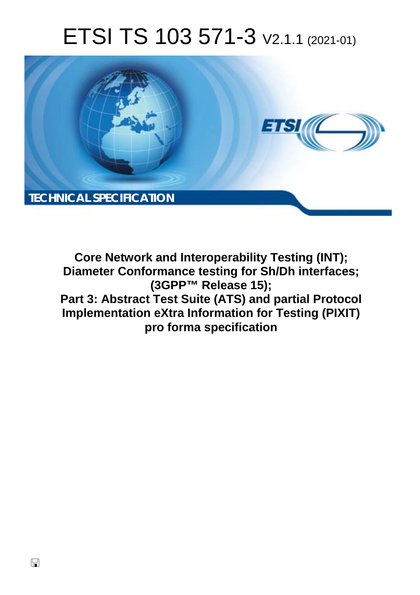# ETSI TS 103 571-3 V2.1.1 (2021-01)



**Core Network and Interoperability Testing (INT); Diameter Conformance testing for Sh/Dh interfaces; (3GPP™ Release 15); Part 3: Abstract Test Suite (ATS) and partial Protocol Implementation eXtra Information for Testing (PIXIT) pro forma specification**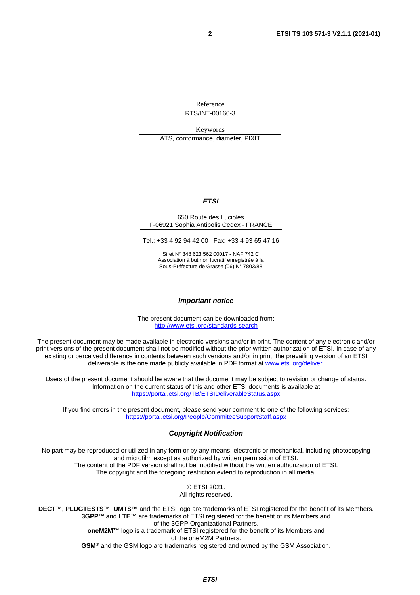Reference

RTS/INT-00160-3

Keywords

ATS, conformance, diameter, PIXIT

#### *ETSI*

#### 650 Route des Lucioles F-06921 Sophia Antipolis Cedex - FRANCE

Tel.: +33 4 92 94 42 00 Fax: +33 4 93 65 47 16

Siret N° 348 623 562 00017 - NAF 742 C Association à but non lucratif enregistrée à la Sous-Préfecture de Grasse (06) N° 7803/88

#### *Important notice*

The present document can be downloaded from: <http://www.etsi.org/standards-search>

The present document may be made available in electronic versions and/or in print. The content of any electronic and/or print versions of the present document shall not be modified without the prior written authorization of ETSI. In case of any existing or perceived difference in contents between such versions and/or in print, the prevailing version of an ETSI deliverable is the one made publicly available in PDF format at [www.etsi.org/deliver](http://www.etsi.org/deliver).

Users of the present document should be aware that the document may be subject to revision or change of status. Information on the current status of this and other ETSI documents is available at <https://portal.etsi.org/TB/ETSIDeliverableStatus.aspx>

If you find errors in the present document, please send your comment to one of the following services: <https://portal.etsi.org/People/CommiteeSupportStaff.aspx>

#### *Copyright Notification*

No part may be reproduced or utilized in any form or by any means, electronic or mechanical, including photocopying and microfilm except as authorized by written permission of ETSI. The content of the PDF version shall not be modified without the written authorization of ETSI. The copyright and the foregoing restriction extend to reproduction in all media.

> © ETSI 2021. All rights reserved.

**DECT™**, **PLUGTESTS™**, **UMTS™** and the ETSI logo are trademarks of ETSI registered for the benefit of its Members. **3GPP™** and **LTE™** are trademarks of ETSI registered for the benefit of its Members and of the 3GPP Organizational Partners. **oneM2M™** logo is a trademark of ETSI registered for the benefit of its Members and of the oneM2M Partners. **GSM®** and the GSM logo are trademarks registered and owned by the GSM Association.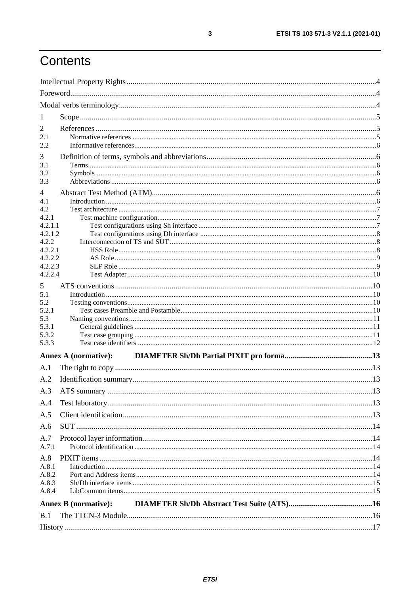# Contents

| 1                  |                             |  |
|--------------------|-----------------------------|--|
| 2                  |                             |  |
| 2.1                |                             |  |
| 2.2                |                             |  |
| 3                  |                             |  |
| 3.1                |                             |  |
| 3.2                |                             |  |
| 3.3                |                             |  |
| 4                  |                             |  |
| 4.1<br>4.2         |                             |  |
| 4.2.1              |                             |  |
| 4.2.1.1            |                             |  |
| 4.2.1.2            |                             |  |
| 4.2.2              |                             |  |
| 4.2.2.1            |                             |  |
| 4.2.2.2            |                             |  |
| 4.2.2.3<br>4.2.2.4 |                             |  |
|                    |                             |  |
| 5<br>5.1           |                             |  |
| 5.2                |                             |  |
| 5.2.1              |                             |  |
| 5.3                |                             |  |
| 5.3.1              |                             |  |
| 5.3.2              |                             |  |
| 5.3.3              |                             |  |
|                    | Annex A (normative):        |  |
| A.1                |                             |  |
| A.2                |                             |  |
| A.3                |                             |  |
| A.4                |                             |  |
| A.5                |                             |  |
| A.6                |                             |  |
| A.7                |                             |  |
| A.7.1              |                             |  |
| A.8                |                             |  |
| A.8.1              |                             |  |
| A.8.2              |                             |  |
| A.8.3              |                             |  |
| A.8.4              |                             |  |
|                    | <b>Annex B</b> (normative): |  |
| B.1                |                             |  |
|                    |                             |  |
|                    |                             |  |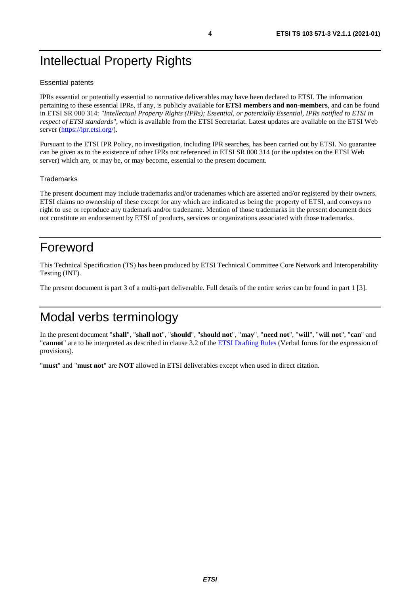# <span id="page-3-0"></span>Intellectual Property Rights

#### Essential patents

IPRs essential or potentially essential to normative deliverables may have been declared to ETSI. The information pertaining to these essential IPRs, if any, is publicly available for **ETSI members and non-members**, and can be found in ETSI SR 000 314: *"Intellectual Property Rights (IPRs); Essential, or potentially Essential, IPRs notified to ETSI in respect of ETSI standards"*, which is available from the ETSI Secretariat. Latest updates are available on the ETSI Web server ([https://ipr.etsi.org/\)](https://ipr.etsi.org/).

Pursuant to the ETSI IPR Policy, no investigation, including IPR searches, has been carried out by ETSI. No guarantee can be given as to the existence of other IPRs not referenced in ETSI SR 000 314 (or the updates on the ETSI Web server) which are, or may be, or may become, essential to the present document.

#### **Trademarks**

The present document may include trademarks and/or tradenames which are asserted and/or registered by their owners. ETSI claims no ownership of these except for any which are indicated as being the property of ETSI, and conveys no right to use or reproduce any trademark and/or tradename. Mention of those trademarks in the present document does not constitute an endorsement by ETSI of products, services or organizations associated with those trademarks.

### Foreword

This Technical Specification (TS) has been produced by ETSI Technical Committee Core Network and Interoperability Testing (INT).

The present document is part 3 of a multi-part deliverable. Full details of the entire series can be found in part 1 [[3\]](#page-4-0).

## Modal verbs terminology

In the present document "**shall**", "**shall not**", "**should**", "**should not**", "**may**", "**need not**", "**will**", "**will not**", "**can**" and "**cannot**" are to be interpreted as described in clause 3.2 of the [ETSI Drafting Rules](https://portal.etsi.org/Services/editHelp!/Howtostart/ETSIDraftingRules.aspx) (Verbal forms for the expression of provisions).

"**must**" and "**must not**" are **NOT** allowed in ETSI deliverables except when used in direct citation.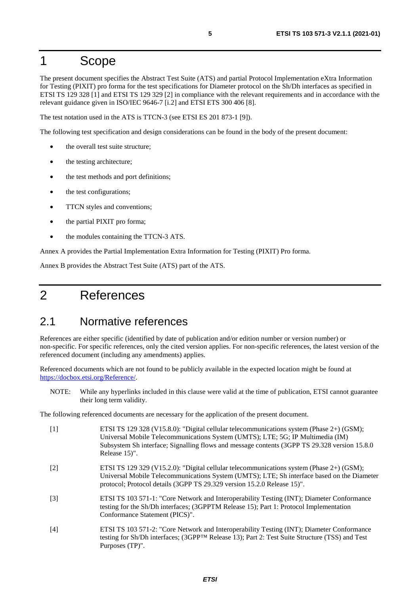### <span id="page-4-0"></span>1 Scope

The present document specifies the Abstract Test Suite (ATS) and partial Protocol Implementation eXtra Information for Testing (PIXIT) pro forma for the test specifications for Diameter protocol on the Sh/Dh interfaces as specified in ETSI TS 129 328 [1] and ETSI TS 129 329 [2] in compliance with the relevant requirements and in accordance with the relevant guidance given in ISO/IEC 9646-7 [\[i.2](#page-5-0)] and ETSI ETS 300 406 [\[8\]](#page-5-0).

The test notation used in the ATS is TTCN-3 (see ETSI ES 201 873-1 [\[9](#page-5-0)]).

The following test specification and design considerations can be found in the body of the present document:

- the overall test suite structure:
- the testing architecture;
- the test methods and port definitions;
- the test configurations;
- TTCN styles and conventions;
- the partial PIXIT pro forma;
- the modules containing the TTCN-3 ATS.

Annex A provides the Partial Implementation Extra Information for Testing (PIXIT) Pro forma.

Annex B provides the Abstract Test Suite (ATS) part of the ATS.

### 2 References

### 2.1 Normative references

References are either specific (identified by date of publication and/or edition number or version number) or non-specific. For specific references, only the cited version applies. For non-specific references, the latest version of the referenced document (including any amendments) applies.

Referenced documents which are not found to be publicly available in the expected location might be found at <https://docbox.etsi.org/Reference/>.

NOTE: While any hyperlinks included in this clause were valid at the time of publication, ETSI cannot guarantee their long term validity.

The following referenced documents are necessary for the application of the present document.

- [1] ETSI TS 129 328 (V15.8.0): "Digital cellular telecommunications system (Phase 2+) (GSM); Universal Mobile Telecommunications System (UMTS); LTE; 5G; IP Multimedia (IM) Subsystem Sh interface; Signalling flows and message contents (3GPP TS 29.328 version 15.8.0 Release 15)".
- [2] ETSI TS 129 329 (V15.2.0): "Digital cellular telecommunications system (Phase 2+) (GSM); Universal Mobile Telecommunications System (UMTS); LTE; Sh interface based on the Diameter protocol; Protocol details (3GPP TS 29.329 version 15.2.0 Release 15)".
- [3] ETSI TS 103 571-1: "Core Network and Interoperability Testing (INT); Diameter Conformance testing for the Sh/Dh interfaces; (3GPPTM Release 15); Part 1: Protocol Implementation Conformance Statement (PICS)".
- [4] ETSI TS 103 571-2: "Core Network and Interoperability Testing (INT); Diameter Conformance testing for Sh/Dh interfaces; (3GPP™ Release 13); Part 2: Test Suite Structure (TSS) and Test Purposes (TP)".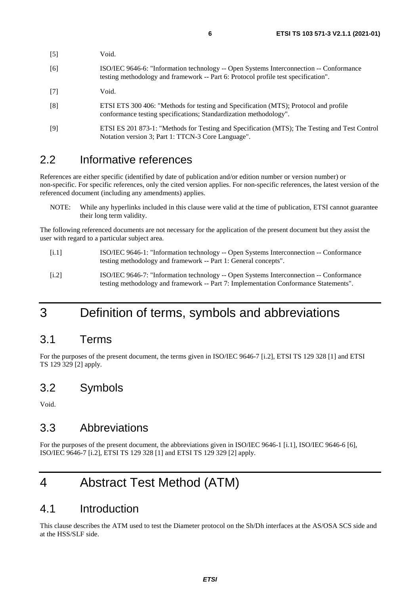<span id="page-5-0"></span>

| $[5]$             | Void.                                                                                                                                                                        |
|-------------------|------------------------------------------------------------------------------------------------------------------------------------------------------------------------------|
| [6]               | ISO/IEC 9646-6: "Information technology -- Open Systems Interconnection -- Conformance<br>testing methodology and framework -- Part 6: Protocol profile test specification". |
| $\lceil 7 \rceil$ | Void.                                                                                                                                                                        |
| [8]               | ETSI ETS 300 406: "Methods for testing and Specification (MTS); Protocol and profile<br>conformance testing specifications; Standardization methodology".                    |
| [9]               | ETSI ES 201 873-1: "Methods for Testing and Specification (MTS); The Testing and Test Control<br>Notation version 3; Part 1: TTCN-3 Core Language".                          |

### 2.2 Informative references

References are either specific (identified by date of publication and/or edition number or version number) or non-specific. For specific references, only the cited version applies. For non-specific references, the latest version of the referenced document (including any amendments) applies.

NOTE: While any hyperlinks included in this clause were valid at the time of publication, ETSI cannot guarantee their long term validity.

The following referenced documents are not necessary for the application of the present document but they assist the user with regard to a particular subject area.

- [i.1] ISO/IEC 9646-1: "Information technology -- Open Systems Interconnection -- Conformance testing methodology and framework -- Part 1: General concepts".
- [i.2] ISO/IEC 9646-7: "Information technology -- Open Systems Interconnection -- Conformance testing methodology and framework -- Part 7: Implementation Conformance Statements".

# 3 Definition of terms, symbols and abbreviations

### 3.1 Terms

For the purposes of the present document, the terms given in ISO/IEC 9646-7 [i.2], ETSI TS 129 328 [\[1](#page-4-0)] and ETSI TS 129 329 [\[2](#page-4-0)] apply.

### 3.2 Symbols

Void.

### 3.3 Abbreviations

For the purposes of the present document, the abbreviations given in ISO/IEC 9646-1 [i.1], ISO/IEC 9646-6 [6], ISO/IEC 9646-7 [i.2], ETSI TS 129 328 [\[1](#page-4-0)] and ETSI TS 129 329 [[2\]](#page-4-0) apply.

# 4 Abstract Test Method (ATM)

### 4.1 Introduction

This clause describes the ATM used to test the Diameter protocol on the Sh/Dh interfaces at the AS/OSA SCS side and at the HSS/SLF side.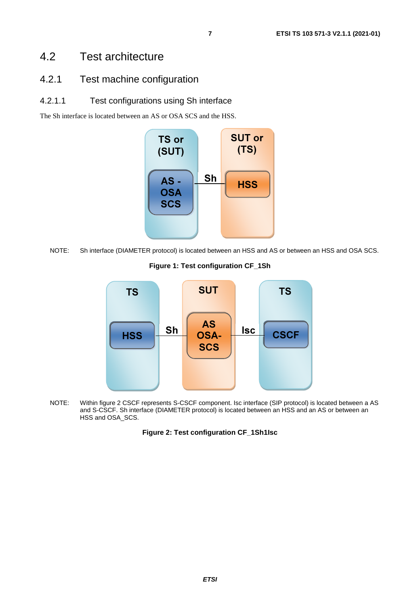### <span id="page-6-0"></span>4.2 Test architecture

### 4.2.1 Test machine configuration

#### 4.2.1.1 Test configurations using Sh interface

The Sh interface is located between an AS or OSA SCS and the HSS.



NOTE: Sh interface (DIAMETER protocol) is located between an HSS and AS or between an HSS and OSA SCS.

#### **Figure 1: Test configuration CF\_1Sh**



NOTE: Within figure 2 CSCF represents S-CSCF component. Isc interface (SIP protocol) is located between a AS and S-CSCF. Sh interface (DIAMETER protocol) is located between an HSS and an AS or between an HSS and OSA\_SCS.

#### **Figure 2: Test configuration CF\_1Sh1Isc**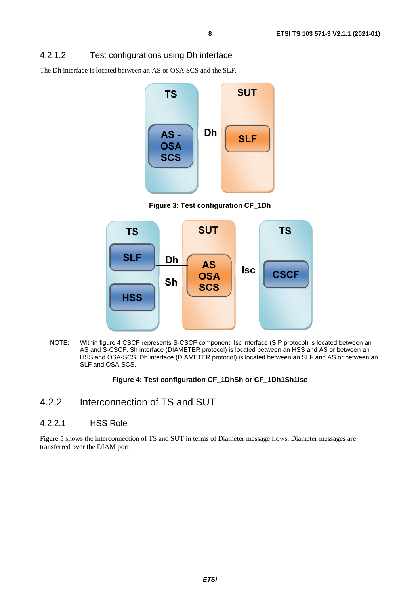#### <span id="page-7-0"></span>4.2.1.2 Test configurations using Dh interface

The Dh interface is located between an AS or OSA SCS and the SLF.



**Figure 3: Test configuration CF\_1Dh** 



NOTE: Within figure 4 CSCF represents S-CSCF component. Isc interface (SIP protocol) is located between an AS and S-CSCF. Sh interface (DIAMETER protocol) is located between an HSS and AS or between an HSS and OSA-SCS. Dh interface (DIAMETER protocol) is located between an SLF and AS or between an SLF and OSA-SCS.

#### **Figure 4: Test configuration CF\_1DhSh or CF\_1Dh1Sh1Isc**

### 4.2.2 Interconnection of TS and SUT

#### 4.2.2.1 HSS Role

Figure 5 shows the interconnection of TS and SUT in terms of Diameter message flows. Diameter messages are transferred over the DIAM port.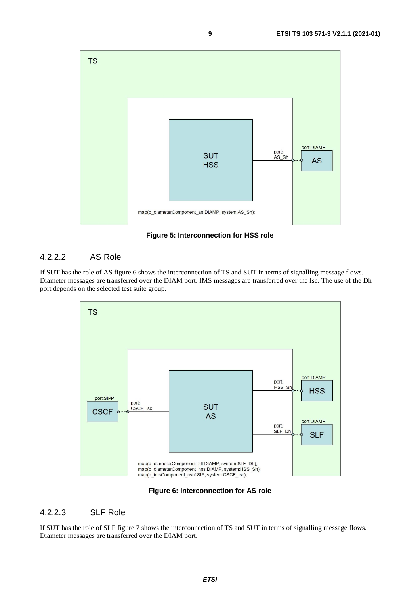<span id="page-8-0"></span>

**Figure 5: Interconnection for HSS role** 

#### 4.2.2.2 AS Role

If SUT has the role of AS figure 6 shows the interconnection of TS and SUT in terms of signalling message flows. Diameter messages are transferred over the DIAM port. IMS messages are transferred over the Isc. The use of the Dh port depends on the selected test suite group.



**Figure 6: Interconnection for AS role** 

#### 4.2.2.3 SLF Role

If SUT has the role of SLF figure 7 shows the interconnection of TS and SUT in terms of signalling message flows. Diameter messages are transferred over the DIAM port.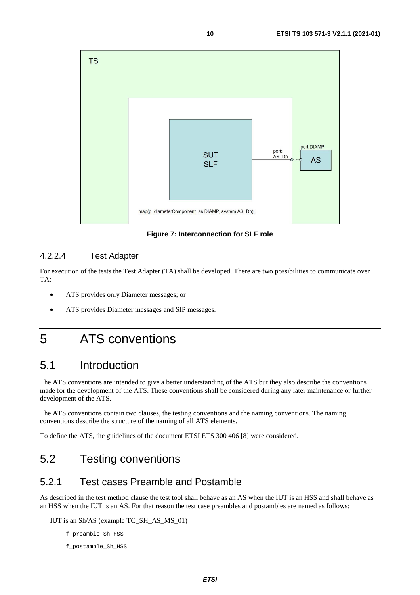<span id="page-9-0"></span>

**Figure 7: Interconnection for SLF role** 

#### 4.2.2.4 Test Adapter

For execution of the tests the Test Adapter (TA) shall be developed. There are two possibilities to communicate over TA:

- ATS provides only Diameter messages; or
- ATS provides Diameter messages and SIP messages.

# 5 ATS conventions

### 5.1 Introduction

The ATS conventions are intended to give a better understanding of the ATS but they also describe the conventions made for the development of the ATS. These conventions shall be considered during any later maintenance or further development of the ATS.

The ATS conventions contain two clauses, the testing conventions and the naming conventions. The naming conventions describe the structure of the naming of all ATS elements.

To define the ATS, the guidelines of the document ETSI ETS 300 406 [\[8](#page-5-0)] were considered.

## 5.2 Testing conventions

### 5.2.1 Test cases Preamble and Postamble

As described in the test method clause the test tool shall behave as an AS when the IUT is an HSS and shall behave as an HSS when the IUT is an AS. For that reason the test case preambles and postambles are named as follows:

IUT is an Sh/AS (example TC\_SH\_AS\_MS\_01)

f\_preamble\_Sh\_HSS

f\_postamble\_Sh\_HSS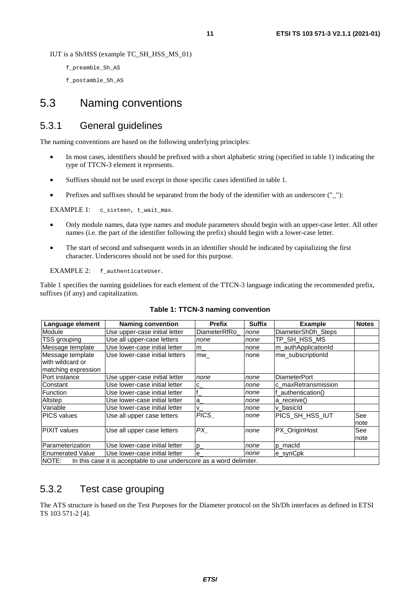<span id="page-10-0"></span>IUT is a Sh/HSS (example TC\_SH\_HSS\_MS\_01)

f\_preamble\_Sh\_AS

f\_postamble\_Sh\_AS

### 5.3 Naming conventions

### 5.3.1 General guidelines

The naming conventions are based on the following underlying principles:

- In most cases, identifiers should be prefixed with a short alphabetic string (specified in table 1) indicating the type of TTCN-3 element it represents.
- Suffixes should not be used except in those specific cases identified in table 1.
- Prefixes and suffixes should be separated from the body of the identifier with an underscore (" $"$ ):

EXAMPLE 1: c\_sixteen, t\_wait\_max.

- Only module names, data type names and module parameters should begin with an upper-case letter. All other names (i.e. the part of the identifier following the prefix) should begin with a lower-case letter.
- The start of second and subsequent words in an identifier should be indicated by capitalizing the first character. Underscores should not be used for this purpose.

EXAMPLE 2: f\_authenticateUser.

Table 1 specifies the naming guidelines for each element of the TTCN-3 language indicating the recommended prefix, suffixes (if any) and capitalization.

| Language element        | <b>Naming convention</b>                                             | <b>Prefix</b>      | <b>Suffix</b> | <b>Example</b>      | <b>Notes</b> |
|-------------------------|----------------------------------------------------------------------|--------------------|---------------|---------------------|--------------|
| Module                  | Use upper-case initial letter                                        | DiameterRfRo       | none          | DiameterShDh Steps  |              |
| TSS grouping            | Use all upper-case letters                                           | none               | none          | TP_SH_HSS_MS        |              |
| Message template        | Use lower-case initial letter                                        | $m_{-}$            | none          | m authApplicationId |              |
| Message template        | Use lower-case initial letters                                       | mw                 | none          | mw_subscriptionId   |              |
| with wildcard or        |                                                                      |                    |               |                     |              |
| matching expression     |                                                                      |                    |               |                     |              |
| Port instance           | Use upper-case initial letter                                        | none               | none          | <b>DiameterPort</b> |              |
| Constant                | Use lower-case initial letter                                        | ${}^{\mathsf{IC}}$ | none          | c maxRetransmission |              |
| Function                | Use lower-case initial letter                                        |                    | none          | authentication()    |              |
| Altstep                 | Use lower-case initial letter                                        | $a_{-}$            | none          | a receive()         |              |
| Variable                | Use lower-case initial letter                                        | v                  | none          | v basicld           |              |
| <b>PICS</b> values      | Use all upper case letters                                           | <b>PICS</b>        | none          | PICS SH HSS IUT     | See          |
|                         |                                                                      |                    |               |                     | note         |
| <b>PIXIT</b> values     | Use all upper case letters                                           | PX                 | none          | PX_OriginHost       | See          |
|                         |                                                                      |                    |               |                     | note         |
| Parameterization        | Use lower-case initial letter                                        | $p_{-}$            | none          | p_macId             |              |
| <b>Enumerated Value</b> | Use lower-case initial letter                                        | $e_{-}$            | none          | e_synCpk            |              |
| INOTE:                  | In this case it is acceptable to use underscore as a word delimiter. |                    |               |                     |              |

#### **Table 1: TTCN-3 naming convention**

5.3.2 Test case grouping

The ATS structure is based on the Test Purposes for the Diameter protocol on the Sh/Dh interfaces as defined in ETSI TS 103 571-2 [\[4\]](#page-4-0).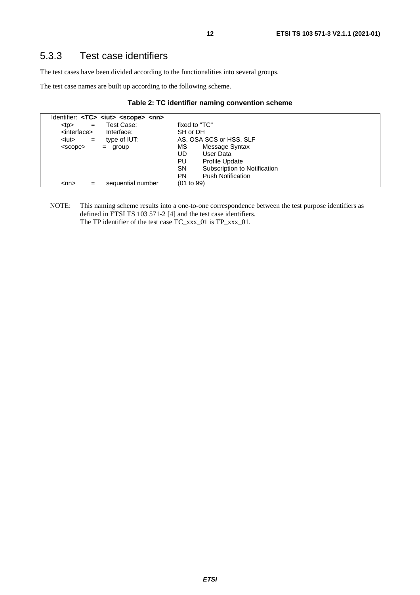### <span id="page-11-0"></span>5.3.3 Test case identifiers

The test cases have been divided according to the functionalities into several groups.

The test case names are built up according to the following scheme.

|  |  |  |  | Table 2: TC identifier naming convention scheme |  |
|--|--|--|--|-------------------------------------------------|--|
|--|--|--|--|-------------------------------------------------|--|

|                                | Identifier: <tc>_<iut>_<scope>_<nn></nn></scope></iut></tc> |               |                              |
|--------------------------------|-------------------------------------------------------------|---------------|------------------------------|
| <br><sub>top</sub><br>$=$      | Test Case:                                                  | fixed to "TC" |                              |
| <interface></interface>        | Interface:                                                  | SH or DH      |                              |
| <iut><br/><math>=</math></iut> | type of IUT:                                                |               | AS, OSA SCS or HSS, SLF      |
| <scope></scope>                | group<br>$=$                                                | МS            | Message Syntax               |
|                                |                                                             | UD            | User Data                    |
|                                |                                                             | PU            | <b>Profile Update</b>        |
|                                |                                                             | <b>SN</b>     | Subscription to Notification |
|                                |                                                             | PN            | <b>Push Notification</b>     |
| $<$ nn $>$<br>=                | sequential number                                           | (01 to 99)    |                              |

NOTE: This naming scheme results into a one-to-one correspondence between the test purpose identifiers as defined in ETSI TS 103 571-2 [\[4\]](#page-4-0) and the test case identifiers. The TP identifier of the test case TC\_xxx\_01 is TP\_xxx\_01.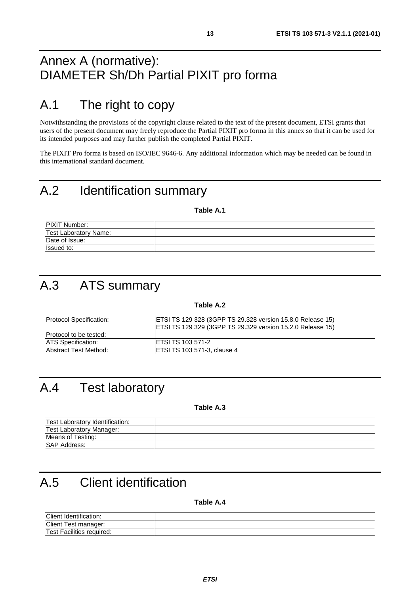# <span id="page-12-0"></span>Annex A (normative): DIAMETER Sh/Dh Partial PIXIT pro forma

# A.1 The right to copy

Notwithstanding the provisions of the copyright clause related to the text of the present document, ETSI grants that users of the present document may freely reproduce the Partial PIXIT pro forma in this annex so that it can be used for its intended purposes and may further publish the completed Partial PIXIT.

The PIXIT Pro forma is based on ISO/IEC 9646-6. Any additional information which may be needed can be found in this international standard document.

# A.2 Identification summary

**Table A.1** 

| <b>PIXIT Number:</b>         |  |
|------------------------------|--|
| <b>Test Laboratory Name:</b> |  |
| Date of Issue:               |  |
| <b>Issued to:</b>            |  |

# A.3 ATS summary

**Table A.2** 

| <b>Protocol Specification:</b> | <b>ETSI TS 129 328 (3GPP TS 29.328 version 15.8.0 Release 15)</b><br><b>ETSI TS 129 329 (3GPP TS 29.329 version 15.2.0 Release 15)</b> |
|--------------------------------|----------------------------------------------------------------------------------------------------------------------------------------|
| <b>Protocol to be tested:</b>  |                                                                                                                                        |
| <b>IATS Specification:</b>     | <b>IETSI TS 103 571-2</b>                                                                                                              |
| <b>Abstract Test Method:</b>   | <b>ETSI TS 103 571-3, clause 4</b>                                                                                                     |

# A.4 Test laboratory

**Table A.3** 

| Test Laboratory Identification: |  |
|---------------------------------|--|
| Test Laboratory Manager:        |  |
| Means of Testing:               |  |
| <b>ISAP Address:</b>            |  |

# A.5 Client identification

**Table A.4** 

| Client<br>.<br>Identification: |  |
|--------------------------------|--|
| <b>Client</b><br>lest manager: |  |
| Facilities required:<br>! est  |  |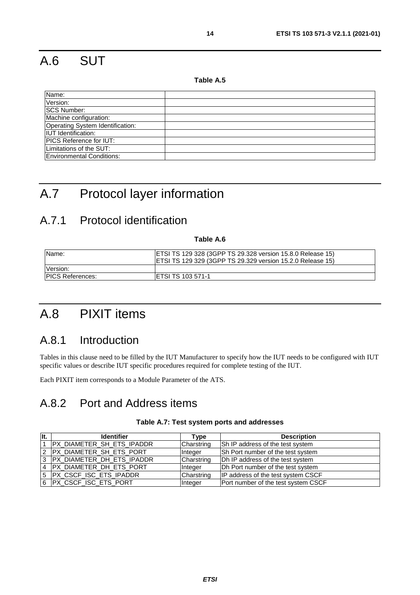# <span id="page-13-0"></span>A.6 SUT

**Table A.5** 

| Name:                            |  |
|----------------------------------|--|
| Version:                         |  |
| <b>SCS Number:</b>               |  |
| Machine configuration:           |  |
| Operating System Identification: |  |
| <b>IUT</b> Identification:       |  |
| <b>PICS Reference for IUT:</b>   |  |
| Limitations of the SUT:          |  |
| <b>Environmental Conditions:</b> |  |

# A.7 Protocol layer information

### A.7.1 Protocol identification

**Table A.6** 

| IName:                   | <b>ETSI TS 129 328 (3GPP TS 29.328 version 15.8.0 Release 15)</b><br>IETSI TS 129 329 (3GPP TS 29.329 version 15.2.0 Release 15) |
|--------------------------|----------------------------------------------------------------------------------------------------------------------------------|
| Version:                 |                                                                                                                                  |
| <b>IPICS References:</b> | IETSI TS 103 571-1                                                                                                               |

# A.8 PIXIT items

### A.8.1 Introduction

Tables in this clause need to be filled by the IUT Manufacturer to specify how the IUT needs to be configured with IUT specific values or describe IUT specific procedures required for complete testing of the IUT.

Each PIXIT item corresponds to a Module Parameter of the ATS.

### A.8.2 Port and Address items

| llt. | <b>Identifier</b>           | Type       | <b>Description</b>                  |
|------|-----------------------------|------------|-------------------------------------|
|      | PX_DIAMETER_SH_ETS_IPADDR   | Charstring | Sh IP address of the test system    |
|      | 2 PX DIAMETER SH ETS PORT   | Integer    | Sh Port number of the test system   |
|      | 3 PX DIAMETER DH ETS IPADDR | Charstring | Dh IP address of the test system    |
|      | 4   PX_DIAMETER_DH_ETS_PORT | Integer    | Dh Port number of the test system   |
|      | 5  PX_CSCF_ISC_ETS_IPADDR   | Charstring | IP address of the test system CSCF  |
|      | 6   PX_CSCF_ISC_ETS_PORT    | Integer    | Port number of the test system CSCF |

#### **Table A.7: Test system ports and addresses**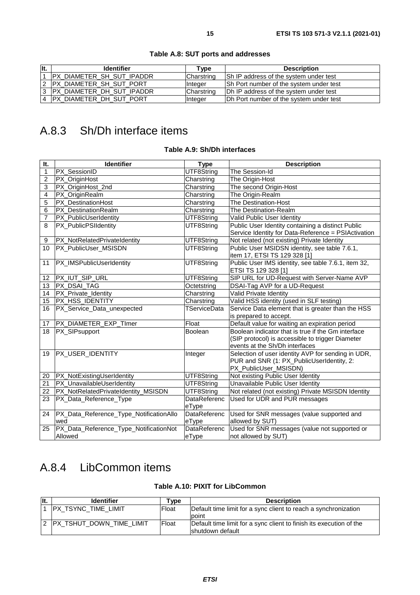<span id="page-14-0"></span>

| llt. | <b>Identifier</b>                 | туре       | <b>Description</b>                      |
|------|-----------------------------------|------------|-----------------------------------------|
|      | <b>PX DIAMETER SH SUT IPADDR</b>  | Charstring | Sh IP address of the system under test  |
|      | IPX DIAMETER SH SUT PORT          | Integer    | Sh Port number of the system under test |
|      | <b>IPX_DIAMETER_DH_SUT_IPADDR</b> | Charstring | Dh IP address of the system under test  |
|      | IPX DIAMETER DH SUT PORT          | Integer    | Dh Port number of the system under test |

#### **Table A.8: SUT ports and addresses**

# A.8.3 Sh/Dh interface items

#### **Table A.9: Sh/Dh interfaces**

| It.          | <b>Identifier</b>                       | <b>Type</b>           | <b>Description</b>                                                                                                                       |
|--------------|-----------------------------------------|-----------------------|------------------------------------------------------------------------------------------------------------------------------------------|
| $\mathbf{1}$ | PX_SessionID                            | UTF8String            | The Session-Id                                                                                                                           |
| 2            | PX_OriginHost                           | Charstring            | The Origin-Host                                                                                                                          |
| 3            | PX_OriginHost_2nd                       | Charstring            | The second Origin-Host                                                                                                                   |
| 4            | PX_OriginRealm                          | Charstring            | The Origin-Realm                                                                                                                         |
| 5            | PX DestinationHost                      | Charstring            | The Destination-Host                                                                                                                     |
| 6            | PX_DestinationRealm                     | Charstring            | The Destination-Realm                                                                                                                    |
| 7            | PX_PublicUserIdentity                   | UTF8String            | Valid Public User Identity                                                                                                               |
| 8            | PX_PublicPSIIdentity                    | UTF8String            | Public User Identity containing a distinct Public<br>Service Identity for Data-Reference = PSIActivation                                 |
| 9            | PX_NotRelatedPrivateIdentity            | UTF8String            | Not related (not existing) Private Identity                                                                                              |
| 10           | PX_PublicUser_MSISDN                    | UTF8String            | Public User MSIDSN identity, see table 7.6.1,<br>item 17, ETSI TS 129 328 [1]                                                            |
| 11           | PX_IMSPublicUserIdentity                | UTF8String            | Public User IMS identity, see table 7.6.1, item 32,<br>ETSI TS 129 328 [1]                                                               |
| 12           | PX_IUT_SIP_URL                          | UTF8String            | SIP URL for UD-Request with Server-Name AVP                                                                                              |
| 13           | PX DSAI TAG                             | Octetstring           | DSAI-Tag AVP for a UD-Request                                                                                                            |
| 14           | PX_Private_Identity                     | Charstring            | Valid Private Identity                                                                                                                   |
| 15           | PX_HSS_IDENTITY                         | Charstring            | Valid HSS identity (used in SLF testing)                                                                                                 |
| 16           | PX_Service_Data_unexpected              | TServiceData          | Service Data element that is greater than the HSS<br>is prepared to accept.                                                              |
| 17           | PX_DIAMETER_EXP_TImer                   | Float                 | Default value for waiting an expiration period                                                                                           |
| 18           | PX_SIPsupport                           | Boolean               | Boolean indicator that is true if the Gm interface<br>(SIP protocol) is accessible to trigger Diameter<br>events at the Sh/Dh interfaces |
| 19           | PX_USER_IDENTITY                        | Integer               | Selection of user identity AVP for sending in UDR,<br>PUR and SNR (1: PX_PublicUserIdentity, 2:<br>PX_PublicUser_MSISDN)                 |
| 20           | PX_NotExistingUserIdentity              | UTF8String            | Not existing Public User Identity                                                                                                        |
| 21           | PX_UnavailableUserIdentity              | UTF8String            | Unavailable Public User Identity                                                                                                         |
| 22           | PX_NotRelatedPrivateIdentity_MSISDN     | UTF8String            | Not related (not existing) Private MSISDN Identity                                                                                       |
| 23           | PX_Data_Reference_Type                  | DataReferenc<br>eType | Used for UDR and PUR messages                                                                                                            |
| 24           | PX_Data_Reference_Type_NotificationAllo | DataReferenc          | Used for SNR messages (value supported and                                                                                               |
|              | wed                                     | eType                 | allowed by SUT)                                                                                                                          |
| 25           | PX_Data_Reference_Type_NotificationNot  | DataReferenc          | Used for SNR messages (value not supported or                                                                                            |
|              | Allowed                                 | eType                 | not allowed by SUT)                                                                                                                      |

### A.8.4 LibCommon items

#### **Table A.10: PIXIT for LibCommon**

| llt. | <b>Identifier</b>         | ⊺vpe         | <b>Description</b>                                                  |
|------|---------------------------|--------------|---------------------------------------------------------------------|
|      | IPX TSYNC TIME LIMIT      | <b>Float</b> | Default time limit for a sync client to reach a synchronization     |
|      |                           |              | point                                                               |
|      | IPX TSHUT DOWN TIME LIMIT | Float        | Default time limit for a sync client to finish its execution of the |
|      |                           |              | Ishutdown default                                                   |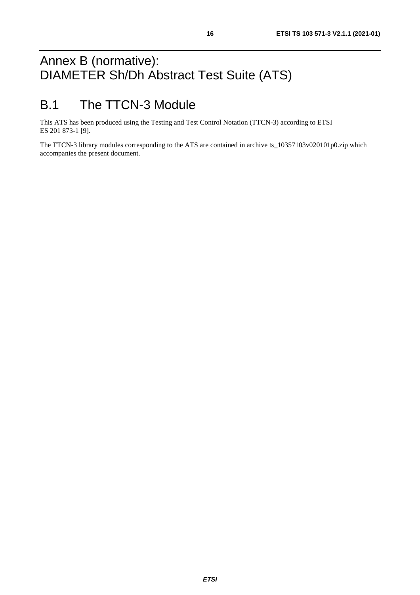# <span id="page-15-0"></span>Annex B (normative): DIAMETER Sh/Dh Abstract Test Suite (ATS)

# B.1 The TTCN-3 Module

This ATS has been produced using the Testing and Test Control Notation (TTCN-3) according to ETSI ES 201 873-1 [\[9\]](#page-5-0).

The TTCN-3 library modules corresponding to the ATS are contained in archive ts\_10357103v020101p0.zip which accompanies the present document.